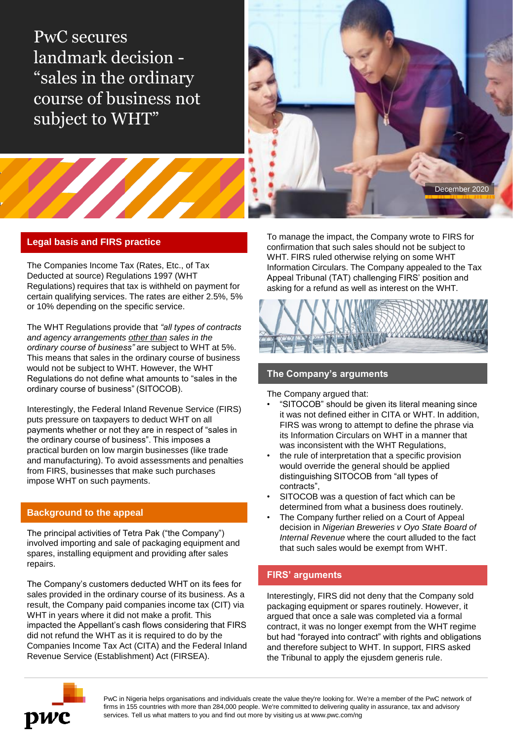PwC secures landmark decision - "sales in the ordinary course of business not subject to WHT"



# **Legal basis and FIRS practice**

The Companies Income Tax (Rates, Etc., of Tax Deducted at source) Regulations 1997 (WHT Regulations) requires that tax is withheld on payment for certain qualifying services. The rates are either 2.5%, 5% or 10% depending on the specific service.

The WHT Regulations provide that *"all types of contracts and agency arrangements other than sales in the ordinary course of business"* are subject to WHT at 5%. This means that sales in the ordinary course of business would not be subject to WHT. However, the WHT Regulations do not define what amounts to "sales in the ordinary course of business" (SITOCOB).

Interestingly, the Federal Inland Revenue Service (FIRS) puts pressure on taxpayers to deduct WHT on all payments whether or not they are in respect of "sales in the ordinary course of business". This imposes a practical burden on low margin businesses (like trade and manufacturing). To avoid assessments and penalties from FIRS, businesses that make such purchases impose WHT on such payments.

## **Background to the appeal**

The principal activities of Tetra Pak ("the Company") involved importing and sale of packaging equipment and spares, installing equipment and providing after sales repairs.

The Company's customers deducted WHT on its fees for sales provided in the ordinary course of its business. As a result, the Company paid companies income tax (CIT) via WHT in years where it did not make a profit. This impacted the Appellant's cash flows considering that FIRS did not refund the WHT as it is required to do by the Companies Income Tax Act (CITA) and the Federal Inland Revenue Service (Establishment) Act (FIRSEA).

To manage the impact, the Company wrote to FIRS for confirmation that such sales should not be subject to WHT. FIRS ruled otherwise relying on some WHT Information Circulars. The Company appealed to the Tax Appeal Tribunal (TAT) challenging FIRS' position and asking for a refund as well as interest on the WHT.



# **The Company's arguments**

The Company argued that:

- "SITOCOB" should be given its literal meaning since it was not defined either in CITA or WHT. In addition, FIRS was wrong to attempt to define the phrase via its Information Circulars on WHT in a manner that was inconsistent with the WHT Regulations,
- the rule of interpretation that a specific provision would override the general should be applied distinguishing SITOCOB from "all types of contracts",
- SITOCOB was a question of fact which can be determined from what a business does routinely.
- The Company further relied on a Court of Appeal decision in *Nigerian Breweries v Oyo State Board of Internal Revenue* where the court alluded to the fact that such sales would be exempt from WHT.

## **FIRS' arguments**

Interestingly, FIRS did not deny that the Company sold packaging equipment or spares routinely. However, it argued that once a sale was completed via a formal contract, it was no longer exempt from the WHT regime but had "forayed into contract" with rights and obligations and therefore subject to WHT. In support, FIRS asked the Tribunal to apply the ejusdem generis rule.



PwC in Nigeria helps organisations and individuals create the value they're looking for. We're a member of the PwC network of firms in 155 countries with more than 284,000 people. We're committed to delivering quality in assurance, tax and advisory services. Tell us what matters to you and find out more by visiting us at www.pwc.com/ng